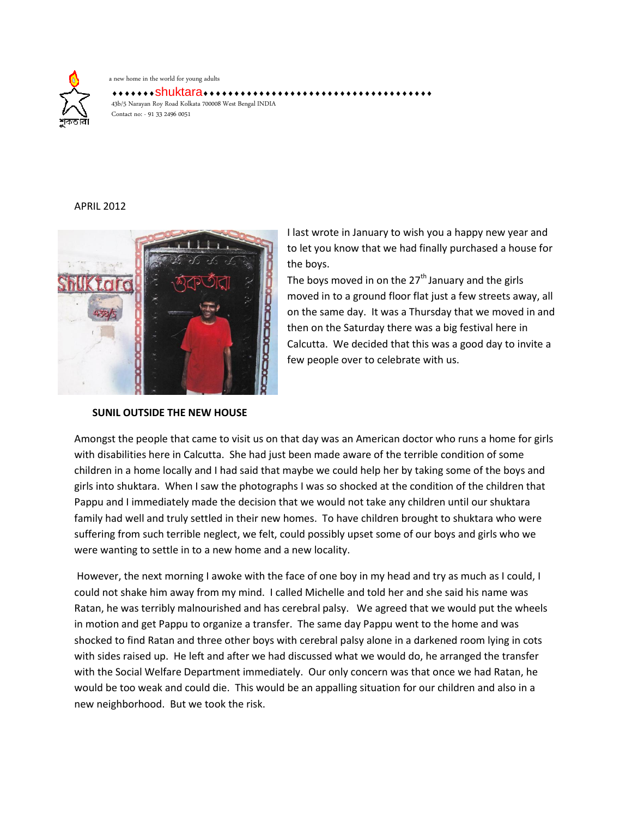

a new home in the world for young adults

\*\*\*\*Shuktara\*\*\*\*\*\*\*\*\*\*\*\*\*\*\*\*\*\*\*\*\* 43b/5 Narayan Roy Road Kolkata 700008 West Bengal INDIA Contact no: - 91 33 2496 0051

## APRIL 2012



**SUNIL OUTSIDE THE NEW HOUSE**

I last wrote in January to wish you a happy new year and to let you know that we had finally purchased a house for the boys.

The boys moved in on the  $27<sup>th</sup>$  January and the girls moved in to a ground floor flat just a few streets away, all on the same day. It was a Thursday that we moved in and then on the Saturday there was a big festival here in Calcutta. We decided that this was a good day to invite a few people over to celebrate with us.

Amongst the people that came to visit us on that day was an American doctor who runs a home for girls with disabilities here in Calcutta. She had just been made aware of the terrible condition of some children in a home locally and I had said that maybe we could help her by taking some of the boys and girls into shuktara. When I saw the photographs I was so shocked at the condition of the children that Pappu and I immediately made the decision that we would not take any children until our shuktara family had well and truly settled in their new homes. To have children brought to shuktara who were suffering from such terrible neglect, we felt, could possibly upset some of our boys and girls who we were wanting to settle in to a new home and a new locality.

However, the next morning I awoke with the face of one boy in my head and try as much as I could, I could not shake him away from my mind. I called Michelle and told her and she said his name was Ratan, he was terribly malnourished and has cerebral palsy. We agreed that we would put the wheels in motion and get Pappu to organize a transfer. The same day Pappu went to the home and was shocked to find Ratan and three other boys with cerebral palsy alone in a darkened room lying in cots with sides raised up. He left and after we had discussed what we would do, he arranged the transfer with the Social Welfare Department immediately. Our only concern was that once we had Ratan, he would be too weak and could die. This would be an appalling situation for our children and also in a new neighborhood. But we took the risk.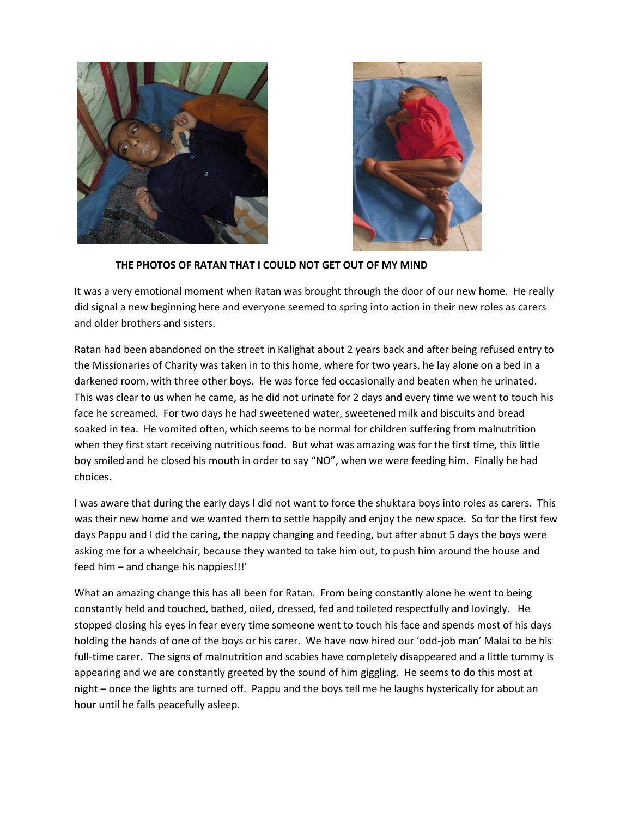



## **THE PHOTOS OF RATAN THAT I COULD NOT GET OUT OF MY MIND**

It was a very emotional moment when Ratan was brought through the door of our new home. He really did signal a new beginning here and everyone seemed to spring into action in their new roles as carers and older brothers and sisters.

Ratan had been abandoned on the street in Kalighat about 2 years back and after being refused entry to the Missionaries of Charity was taken in to this home, where for two years, he lay alone on a bed in a darkened room, with three other boys. He was force fed occasionally and beaten when he urinated. This was clear to us when he came, as he did not urinate for 2 days and every time we went to touch his face he screamed. For two days he had sweetened water, sweetened milk and biscuits and bread soaked in tea. He vomited often, which seems to be normal for children suffering from malnutrition when they first start receiving nutritious food. But what was amazing was for the first time, this little boy smiled and he closed his mouth in order to say "NO", when we were feeding him. Finally he had choices.

I was aware that during the early days I did not want to force the shuktara boys into roles as carers. This was their new home and we wanted them to settle happily and enjoy the new space. So for the first few days Pappu and I did the caring, the nappy changing and feeding, but after about 5 days the boys were asking me for a wheelchair, because they wanted to take him out, to push him around the house and feed him – and change his nappies!!!'

What an amazing change this has all been for Ratan. From being constantly alone he went to being constantly held and touched, bathed, oiled, dressed, fed and toileted respectfully and lovingly. He stopped closing his eyes in fear every time someone went to touch his face and spends most of his days holding the hands of one of the boys or his carer. We have now hired our 'odd-job man' Malai to be his full-time carer. The signs of malnutrition and scabies have completely disappeared and a little tummy is appearing and we are constantly greeted by the sound of him giggling. He seems to do this most at night – once the lights are turned off. Pappu and the boys tell me he laughs hysterically for about an hour until he falls peacefully asleep.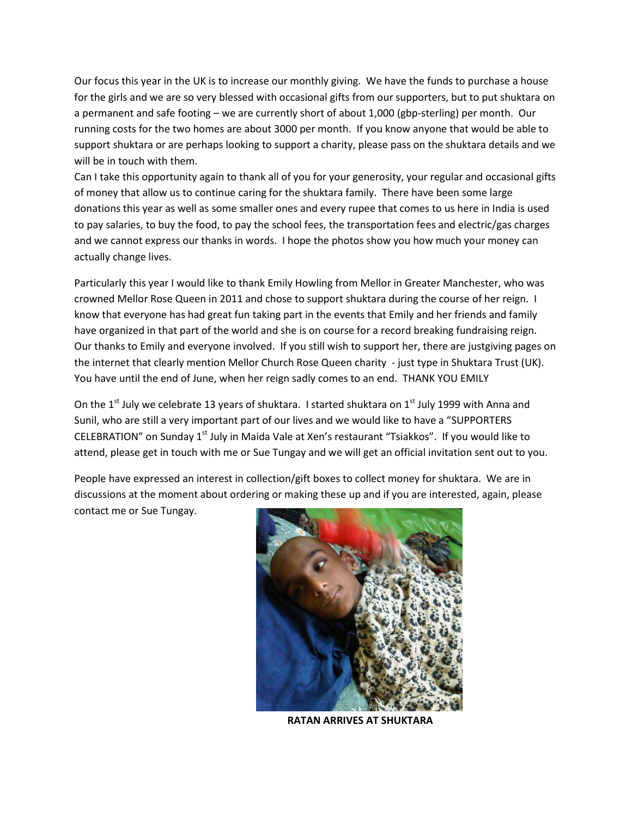Our focus this year in the UK is to increase our monthly giving. We have the funds to purchase a house for the girls and we are so very blessed with occasional gifts from our supporters, but to put shuktara on a permanent and safe footing – we are currently short of about 1,000 (gbp-sterling) per month. Our running costs for the two homes are about 3000 per month. If you know anyone that would be able to support shuktara or are perhaps looking to support a charity, please pass on the shuktara details and we will be in touch with them.

Can I take this opportunity again to thank all of you for your generosity, your regular and occasional gifts of money that allow us to continue caring for the shuktara family. There have been some large donations this year as well as some smaller ones and every rupee that comes to us here in India is used to pay salaries, to buy the food, to pay the school fees, the transportation fees and electric/gas charges and we cannot express our thanks in words. I hope the photos show you how much your money can actually change lives.

Particularly this year I would like to thank Emily Howling from Mellor in Greater Manchester, who was crowned Mellor Rose Queen in 2011 and chose to support shuktara during the course of her reign. I know that everyone has had great fun taking part in the events that Emily and her friends and family have organized in that part of the world and she is on course for a record breaking fundraising reign. Our thanks to Emily and everyone involved. If you still wish to support her, there are justgiving pages on the internet that clearly mention Mellor Church Rose Queen charity - just type in Shuktara Trust (UK). You have until the end of June, when her reign sadly comes to an end. THANK YOU EMILY

On the 1<sup>st</sup> July we celebrate 13 years of shuktara. I started shuktara on 1<sup>st</sup> July 1999 with Anna and Sunil, who are still a very important part of our lives and we would like to have a "SUPPORTERS CELEBRATION" on Sunday 1<sup>st</sup> July in Maida Vale at Xen's restaurant "Tsiakkos". If you would like to attend, please get in touch with me or Sue Tungay and we will get an official invitation sent out to you.

People have expressed an interest in collection/gift boxes to collect money for shuktara. We are in discussions at the moment about ordering or making these up and if you are interested, again, please contact me or Sue Tungay.



 **RATAN ARRIVES AT SHUKTARA**